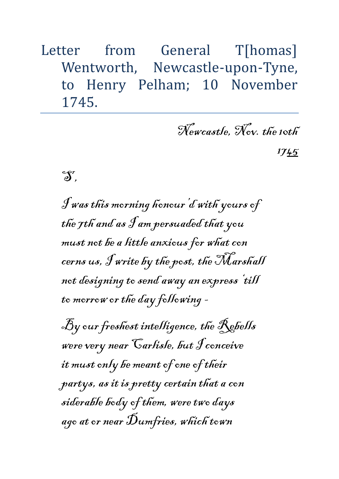Letter from General T[homas] Wentworth, Newcastle-upon-Tyne, to Henry Pelham; 10 November 1745.

Newcastle, Nov. the 10th

1745

 $\mathfrak{F}^r$ 

I was this morning honour'd with yours of the 7th and as I am persuaded that you must not be a little anxious for what con cerns us, I write by the post, the Marshall not designing to send away an express 'till to morrow or the day following -

By our freshest intelligence, the Rebells were very near Carlisle, but I conceive it must only be meant of one of their partys, as it is pretty certain that a con siderable body of them, were two days ago at or near  $\mathcal{\tilde{D}}$ umfries, which town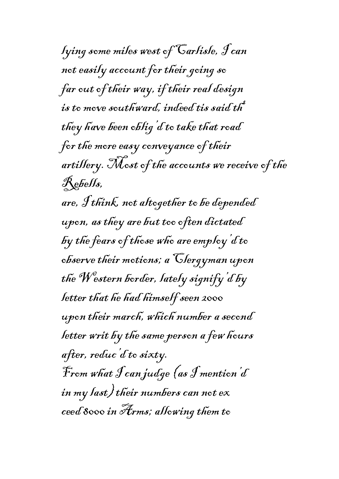lying some miles west of Carlisle, I can not easily account for their going so far out of their way, if their real design is to move southward, indeed tis said th they have been oblig'd to take that road for the more easy conveyance of their artillery. Most of the accounts we receive of the  $\mathcal{R}$ ebells, are, I think, not altogether to be depended upon, as they are but too often dictated by the fears of those who are employ d to observe their motions; a Clergyman upon the Western border, lately signify'd by letter that he had himself seen 2000 upon their march, which number a second letter writ by the same person a few hours after, reduc'd to sixty. From what I can judge (as I mention'd in my last) their numbers can not ex ceed 8000 in Arms; allowing them to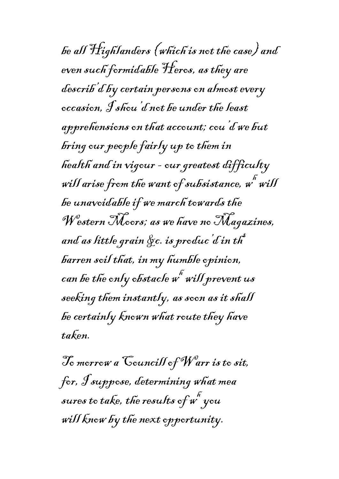be all Highlanders (which is not the case) and even such formidable Heros, as they are describ'd by certain persons on almost every occasion, I shou'd not be under the least apprehensions on that account; cou'd we but bring our people fairly up to them in health and in vigour - our greatest difficulty will arise from the want of subsistance,  $\stackrel{\ \ \ \kappa}{w}$  will be unavoidable if we march towards the Western Moors; as we have no Magazines, and as little grain &c. is produc'd in th barren soil that, in my humble opinion, can be the only obstacle  $\boldsymbol{\mathit{w}}^{\tilde{\kappa}}$  will prevent us seeking them instantly, as soon as it shall be certainly known what route they have taken.

To morrow a Councill of Warr is to sit, for, I suppose, determining what mea sures to take, the results of  $\stackrel{\ \ \ \kappa}{w}$  you will know by the next opportunity.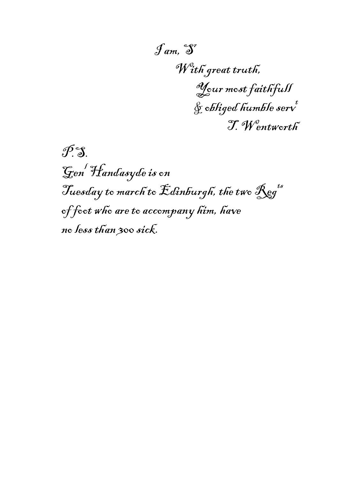$\mathcal{J}$ am,  $\mathfrak{S}^r$ With great truth, Your most faithfull  $\oint$  obliged humble serv T. Wentworth

 $\mathscr{P}$ S Gen<sup>l</sup> Handasyde is on Tuesday to march to Edinburgh, the two  $\mathcal{R}$ eg<sup>ts</sup> of foot who are to accompany him, have no less than 300 sick.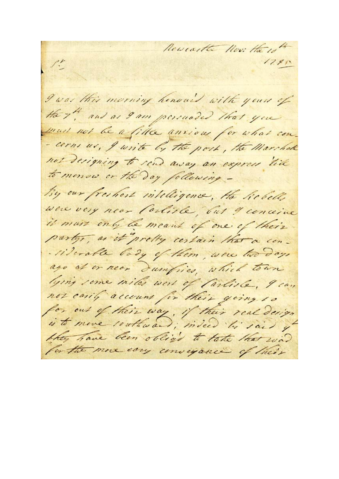Revealte Nov: Here  $1280$ I was this morning henous with yours of the 7th and as 9 am persuaded that you must not be a fille anxious for what con-- cerns us, I write by the post, the Marshall not designing to send away an express like to menow or the day following -By our freshert intelligence, the Robells were very near Carliste, but I conceive it must only be meant of one of their party, as it pretty certain that a con-- l'iderable body of them, were two days ago at or near dumfries, which town lying some miles west of Parliste, I can not carily account for their going to for out of their way, if their real design is to move southward; indeed his said of they have been obliged to take that was for the more easy conveyance of their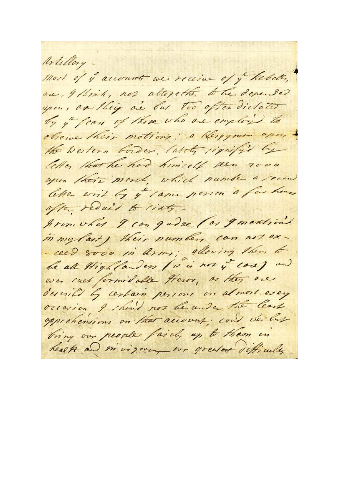Artillery. mort of y accounts we receive of y hebels, are, Illink, non altegether to the depositor upon, as they are but too often dictates by y fear of there who are employed to observe their motions; a Kergyman upon the Western border, lately rignify's by letter that he had himself seen rove upon their morch, which number a recond letter writ by y came person a few hours after redail to risty. gron, what I can gudge (as generations in my last) their numbers can not ex-- ceed 8000 in arms; allowing them to be all thightanders (is in not y cove) and ever ruet formidable Heros, or they are describe by certain persons on almost every oreasion I should not be under the least opprehensions on that account; could we but bring our people fairly up to them in health and mivigory our greater difficulty